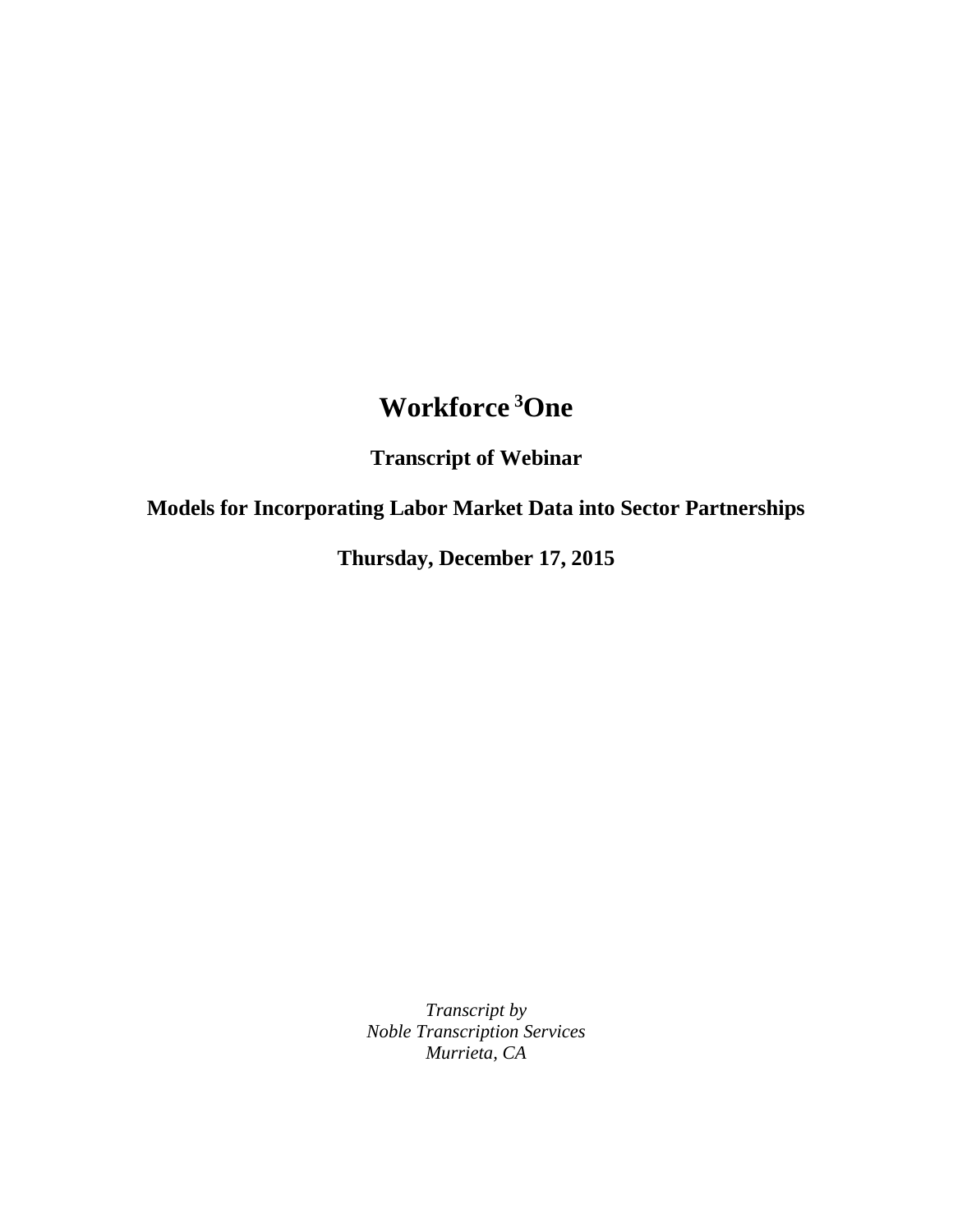## **Workforce <sup>3</sup>One**

**Transcript of Webinar**

**Models for Incorporating Labor Market Data into Sector Partnerships**

**Thursday, December 17, 2015**

*Transcript by Noble Transcription Services Murrieta, CA*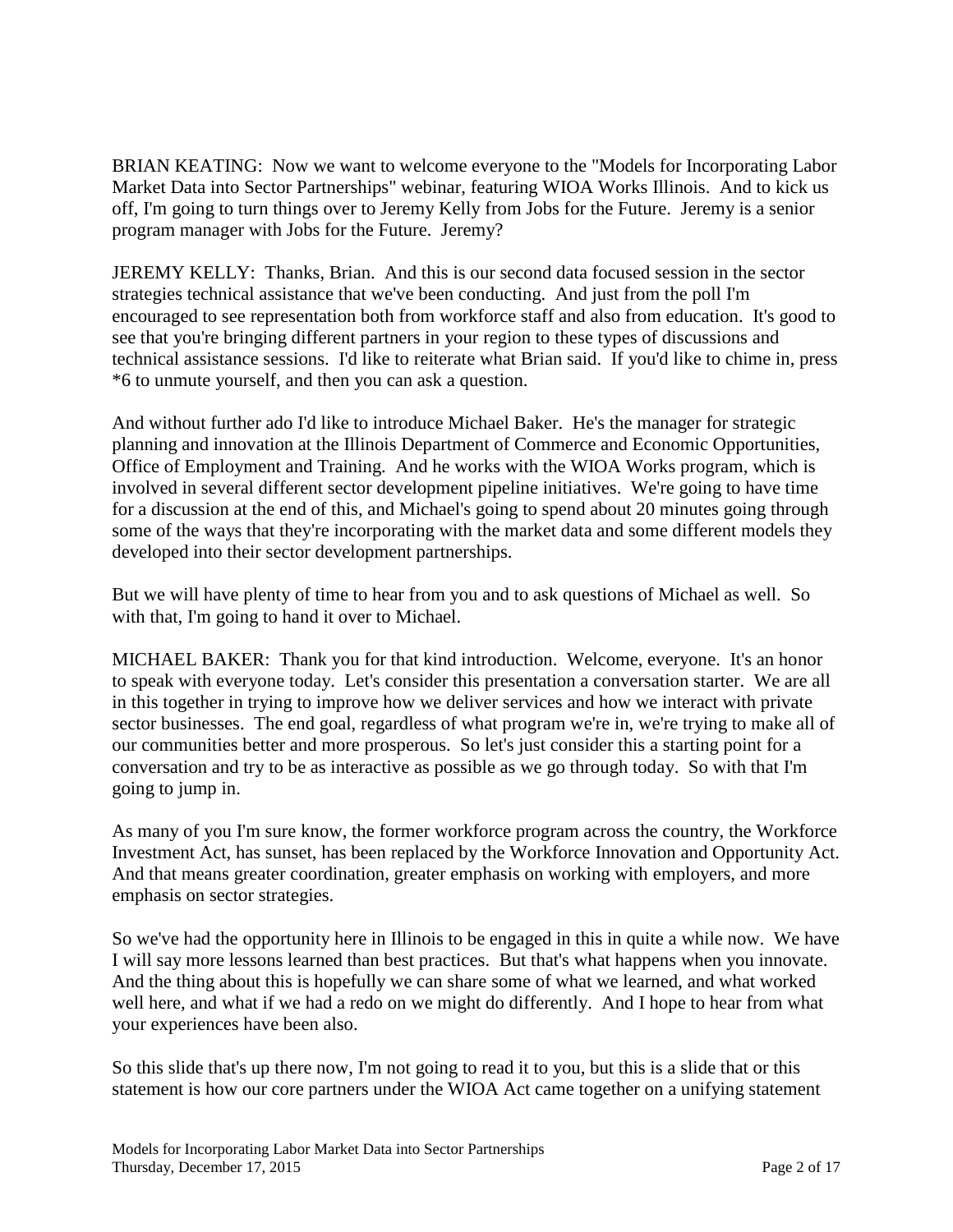BRIAN KEATING: Now we want to welcome everyone to the "Models for Incorporating Labor Market Data into Sector Partnerships" webinar, featuring WIOA Works Illinois. And to kick us off, I'm going to turn things over to Jeremy Kelly from Jobs for the Future. Jeremy is a senior program manager with Jobs for the Future. Jeremy?

JEREMY KELLY: Thanks, Brian. And this is our second data focused session in the sector strategies technical assistance that we've been conducting. And just from the poll I'm encouraged to see representation both from workforce staff and also from education. It's good to see that you're bringing different partners in your region to these types of discussions and technical assistance sessions. I'd like to reiterate what Brian said. If you'd like to chime in, press \*6 to unmute yourself, and then you can ask a question.

And without further ado I'd like to introduce Michael Baker. He's the manager for strategic planning and innovation at the Illinois Department of Commerce and Economic Opportunities, Office of Employment and Training. And he works with the WIOA Works program, which is involved in several different sector development pipeline initiatives. We're going to have time for a discussion at the end of this, and Michael's going to spend about 20 minutes going through some of the ways that they're incorporating with the market data and some different models they developed into their sector development partnerships.

But we will have plenty of time to hear from you and to ask questions of Michael as well. So with that, I'm going to hand it over to Michael.

MICHAEL BAKER: Thank you for that kind introduction. Welcome, everyone. It's an honor to speak with everyone today. Let's consider this presentation a conversation starter. We are all in this together in trying to improve how we deliver services and how we interact with private sector businesses. The end goal, regardless of what program we're in, we're trying to make all of our communities better and more prosperous. So let's just consider this a starting point for a conversation and try to be as interactive as possible as we go through today. So with that I'm going to jump in.

As many of you I'm sure know, the former workforce program across the country, the Workforce Investment Act, has sunset, has been replaced by the Workforce Innovation and Opportunity Act. And that means greater coordination, greater emphasis on working with employers, and more emphasis on sector strategies.

So we've had the opportunity here in Illinois to be engaged in this in quite a while now. We have I will say more lessons learned than best practices. But that's what happens when you innovate. And the thing about this is hopefully we can share some of what we learned, and what worked well here, and what if we had a redo on we might do differently. And I hope to hear from what your experiences have been also.

So this slide that's up there now, I'm not going to read it to you, but this is a slide that or this statement is how our core partners under the WIOA Act came together on a unifying statement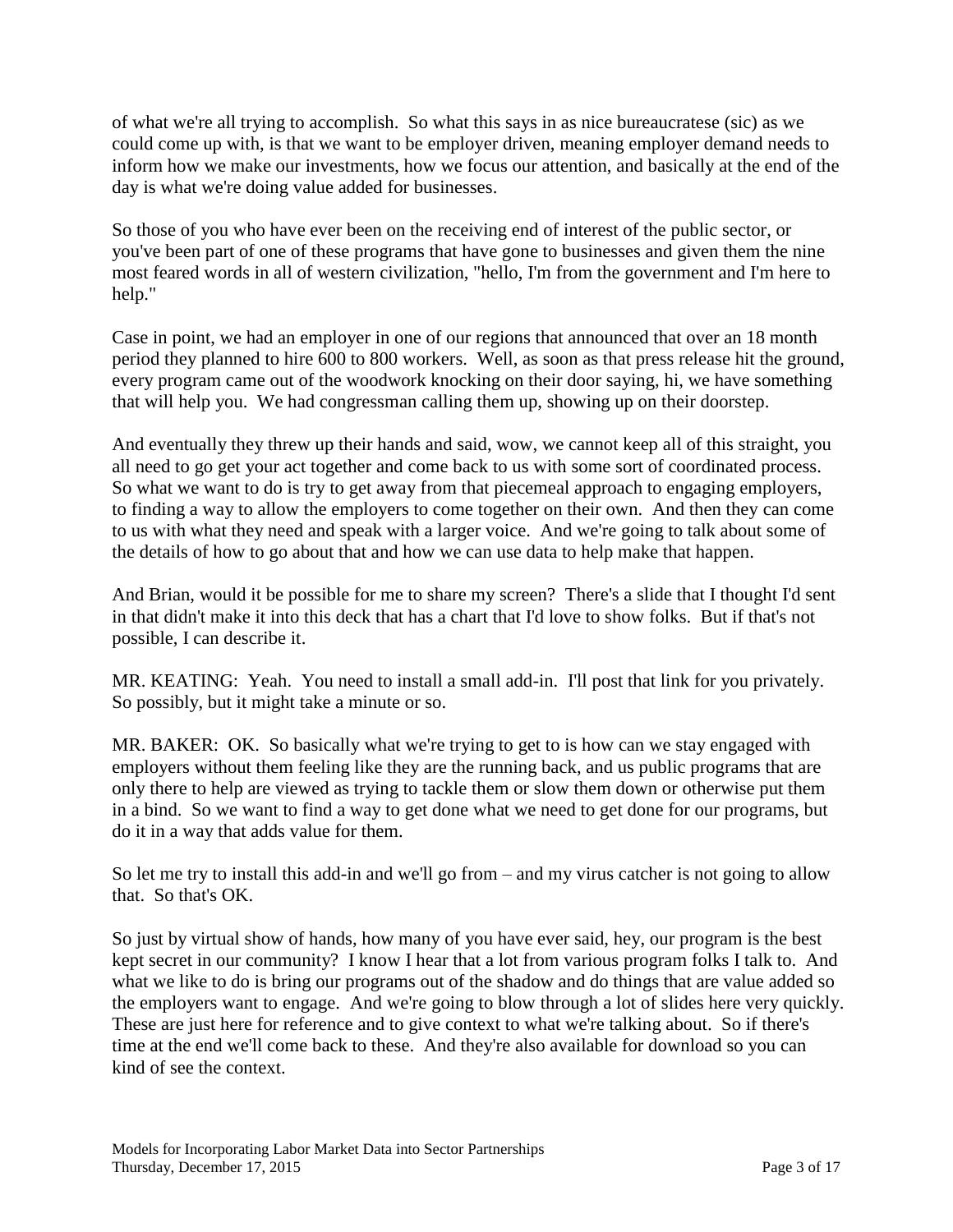of what we're all trying to accomplish. So what this says in as nice bureaucratese (sic) as we could come up with, is that we want to be employer driven, meaning employer demand needs to inform how we make our investments, how we focus our attention, and basically at the end of the day is what we're doing value added for businesses.

So those of you who have ever been on the receiving end of interest of the public sector, or you've been part of one of these programs that have gone to businesses and given them the nine most feared words in all of western civilization, "hello, I'm from the government and I'm here to help."

Case in point, we had an employer in one of our regions that announced that over an 18 month period they planned to hire 600 to 800 workers. Well, as soon as that press release hit the ground, every program came out of the woodwork knocking on their door saying, hi, we have something that will help you. We had congressman calling them up, showing up on their doorstep.

And eventually they threw up their hands and said, wow, we cannot keep all of this straight, you all need to go get your act together and come back to us with some sort of coordinated process. So what we want to do is try to get away from that piecemeal approach to engaging employers, to finding a way to allow the employers to come together on their own. And then they can come to us with what they need and speak with a larger voice. And we're going to talk about some of the details of how to go about that and how we can use data to help make that happen.

And Brian, would it be possible for me to share my screen? There's a slide that I thought I'd sent in that didn't make it into this deck that has a chart that I'd love to show folks. But if that's not possible, I can describe it.

MR. KEATING: Yeah. You need to install a small add-in. I'll post that link for you privately. So possibly, but it might take a minute or so.

MR. BAKER: OK. So basically what we're trying to get to is how can we stay engaged with employers without them feeling like they are the running back, and us public programs that are only there to help are viewed as trying to tackle them or slow them down or otherwise put them in a bind. So we want to find a way to get done what we need to get done for our programs, but do it in a way that adds value for them.

So let me try to install this add-in and we'll go from – and my virus catcher is not going to allow that. So that's OK.

So just by virtual show of hands, how many of you have ever said, hey, our program is the best kept secret in our community? I know I hear that a lot from various program folks I talk to. And what we like to do is bring our programs out of the shadow and do things that are value added so the employers want to engage. And we're going to blow through a lot of slides here very quickly. These are just here for reference and to give context to what we're talking about. So if there's time at the end we'll come back to these. And they're also available for download so you can kind of see the context.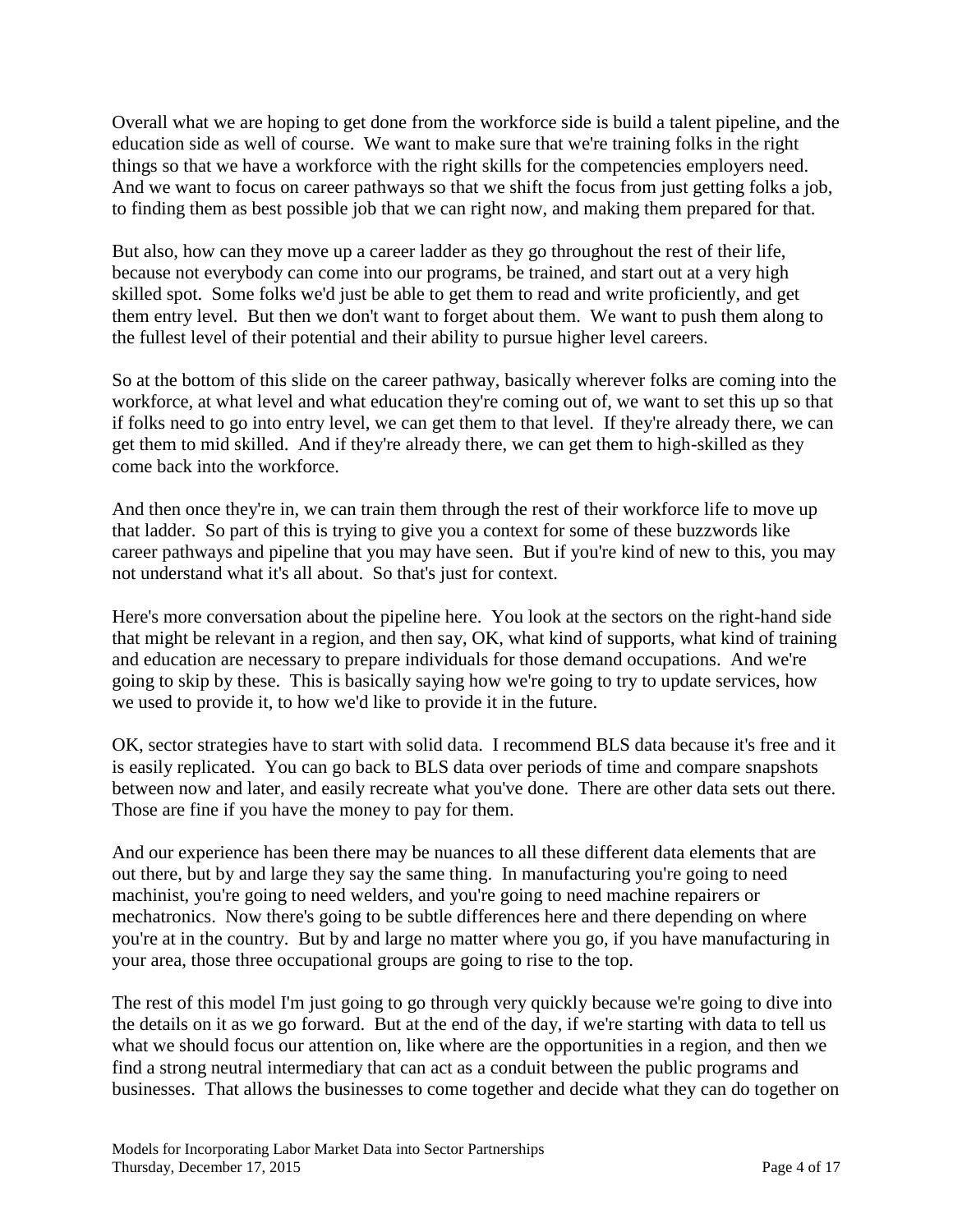Overall what we are hoping to get done from the workforce side is build a talent pipeline, and the education side as well of course. We want to make sure that we're training folks in the right things so that we have a workforce with the right skills for the competencies employers need. And we want to focus on career pathways so that we shift the focus from just getting folks a job, to finding them as best possible job that we can right now, and making them prepared for that.

But also, how can they move up a career ladder as they go throughout the rest of their life, because not everybody can come into our programs, be trained, and start out at a very high skilled spot. Some folks we'd just be able to get them to read and write proficiently, and get them entry level. But then we don't want to forget about them. We want to push them along to the fullest level of their potential and their ability to pursue higher level careers.

So at the bottom of this slide on the career pathway, basically wherever folks are coming into the workforce, at what level and what education they're coming out of, we want to set this up so that if folks need to go into entry level, we can get them to that level. If they're already there, we can get them to mid skilled. And if they're already there, we can get them to high-skilled as they come back into the workforce.

And then once they're in, we can train them through the rest of their workforce life to move up that ladder. So part of this is trying to give you a context for some of these buzzwords like career pathways and pipeline that you may have seen. But if you're kind of new to this, you may not understand what it's all about. So that's just for context.

Here's more conversation about the pipeline here. You look at the sectors on the right-hand side that might be relevant in a region, and then say, OK, what kind of supports, what kind of training and education are necessary to prepare individuals for those demand occupations. And we're going to skip by these. This is basically saying how we're going to try to update services, how we used to provide it, to how we'd like to provide it in the future.

OK, sector strategies have to start with solid data. I recommend BLS data because it's free and it is easily replicated. You can go back to BLS data over periods of time and compare snapshots between now and later, and easily recreate what you've done. There are other data sets out there. Those are fine if you have the money to pay for them.

And our experience has been there may be nuances to all these different data elements that are out there, but by and large they say the same thing. In manufacturing you're going to need machinist, you're going to need welders, and you're going to need machine repairers or mechatronics. Now there's going to be subtle differences here and there depending on where you're at in the country. But by and large no matter where you go, if you have manufacturing in your area, those three occupational groups are going to rise to the top.

The rest of this model I'm just going to go through very quickly because we're going to dive into the details on it as we go forward. But at the end of the day, if we're starting with data to tell us what we should focus our attention on, like where are the opportunities in a region, and then we find a strong neutral intermediary that can act as a conduit between the public programs and businesses. That allows the businesses to come together and decide what they can do together on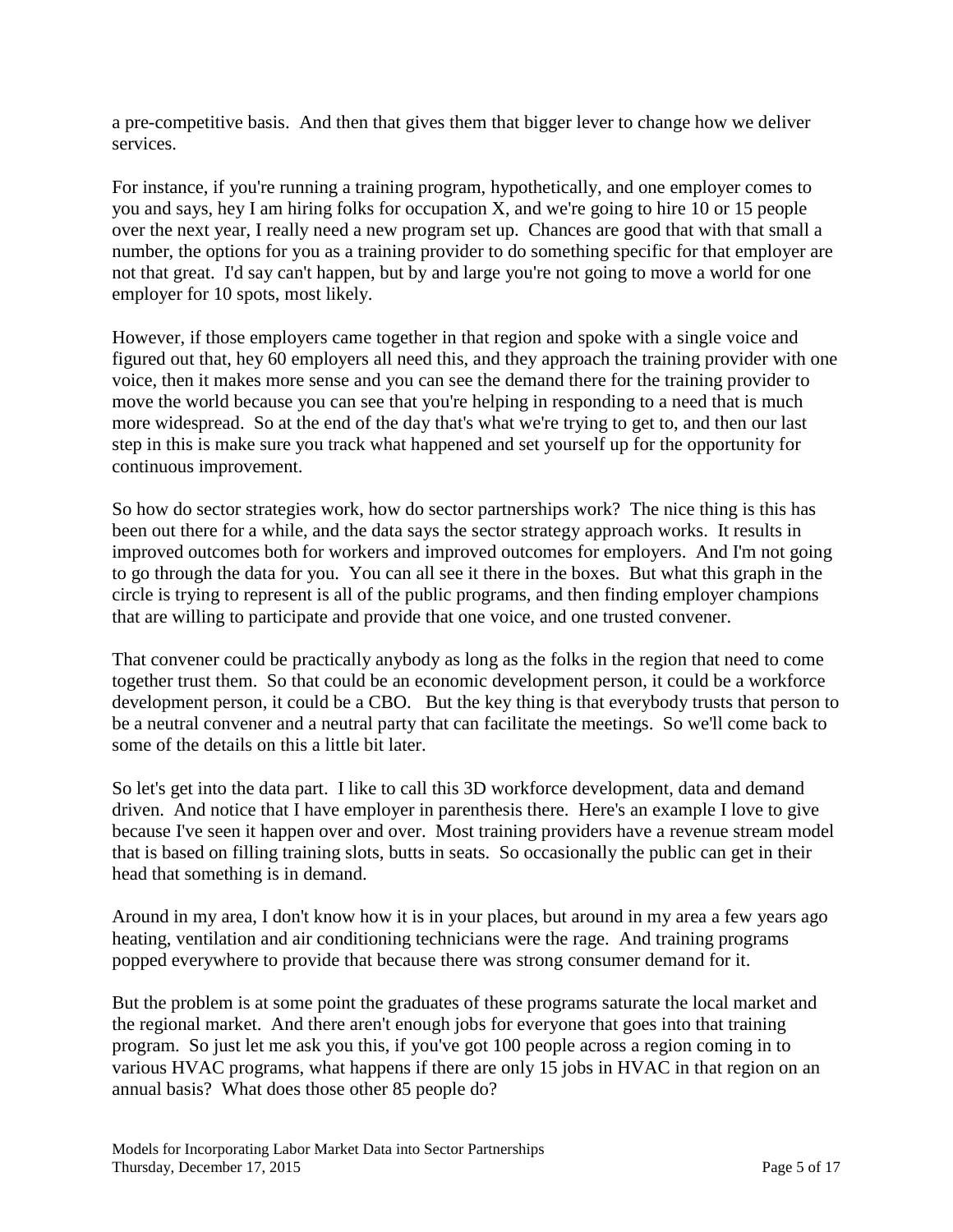a pre-competitive basis. And then that gives them that bigger lever to change how we deliver services.

For instance, if you're running a training program, hypothetically, and one employer comes to you and says, hey I am hiring folks for occupation X, and we're going to hire 10 or 15 people over the next year, I really need a new program set up. Chances are good that with that small a number, the options for you as a training provider to do something specific for that employer are not that great. I'd say can't happen, but by and large you're not going to move a world for one employer for 10 spots, most likely.

However, if those employers came together in that region and spoke with a single voice and figured out that, hey 60 employers all need this, and they approach the training provider with one voice, then it makes more sense and you can see the demand there for the training provider to move the world because you can see that you're helping in responding to a need that is much more widespread. So at the end of the day that's what we're trying to get to, and then our last step in this is make sure you track what happened and set yourself up for the opportunity for continuous improvement.

So how do sector strategies work, how do sector partnerships work? The nice thing is this has been out there for a while, and the data says the sector strategy approach works. It results in improved outcomes both for workers and improved outcomes for employers. And I'm not going to go through the data for you. You can all see it there in the boxes. But what this graph in the circle is trying to represent is all of the public programs, and then finding employer champions that are willing to participate and provide that one voice, and one trusted convener.

That convener could be practically anybody as long as the folks in the region that need to come together trust them. So that could be an economic development person, it could be a workforce development person, it could be a CBO. But the key thing is that everybody trusts that person to be a neutral convener and a neutral party that can facilitate the meetings. So we'll come back to some of the details on this a little bit later.

So let's get into the data part. I like to call this 3D workforce development, data and demand driven. And notice that I have employer in parenthesis there. Here's an example I love to give because I've seen it happen over and over. Most training providers have a revenue stream model that is based on filling training slots, butts in seats. So occasionally the public can get in their head that something is in demand.

Around in my area, I don't know how it is in your places, but around in my area a few years ago heating, ventilation and air conditioning technicians were the rage. And training programs popped everywhere to provide that because there was strong consumer demand for it.

But the problem is at some point the graduates of these programs saturate the local market and the regional market. And there aren't enough jobs for everyone that goes into that training program. So just let me ask you this, if you've got 100 people across a region coming in to various HVAC programs, what happens if there are only 15 jobs in HVAC in that region on an annual basis? What does those other 85 people do?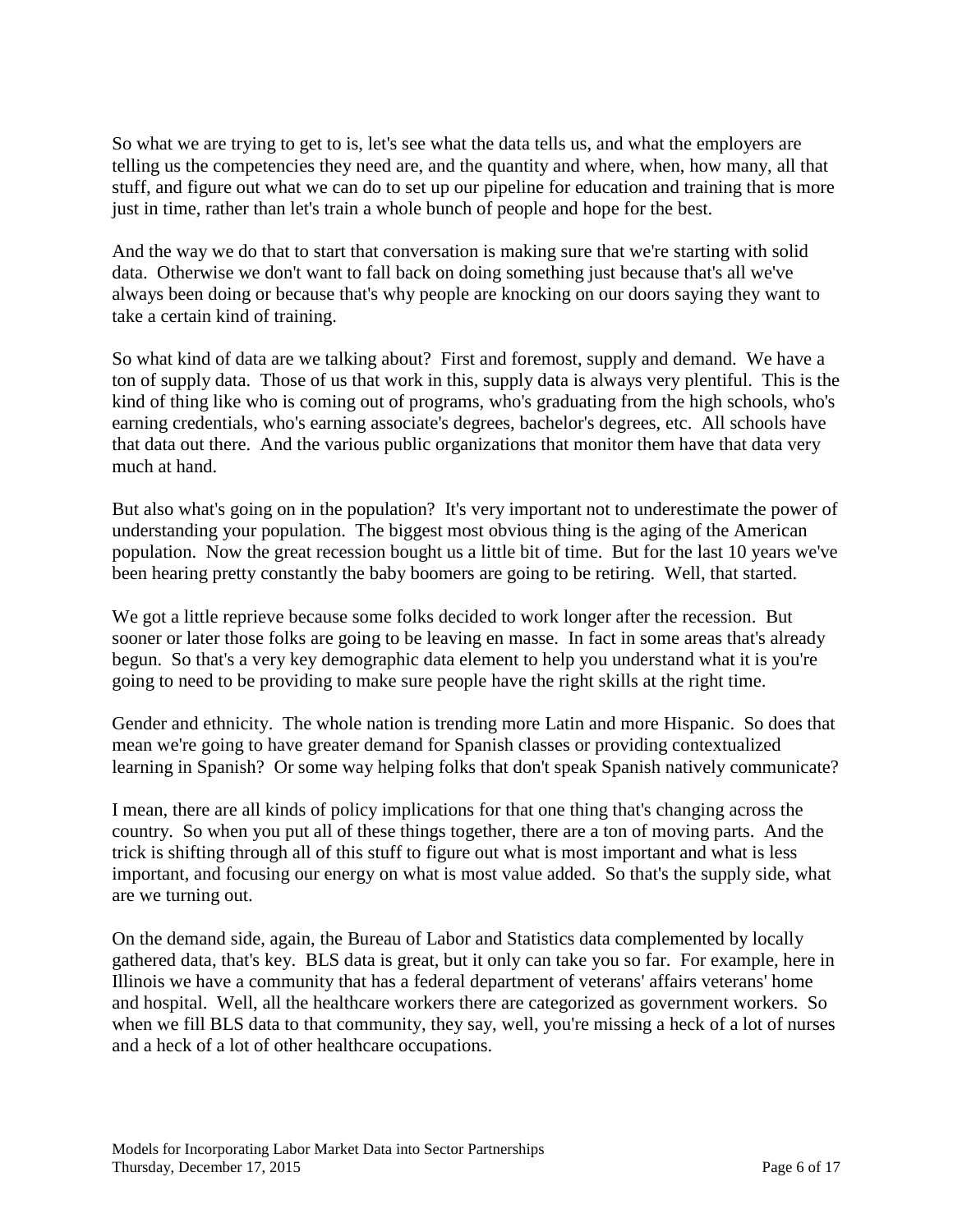So what we are trying to get to is, let's see what the data tells us, and what the employers are telling us the competencies they need are, and the quantity and where, when, how many, all that stuff, and figure out what we can do to set up our pipeline for education and training that is more just in time, rather than let's train a whole bunch of people and hope for the best.

And the way we do that to start that conversation is making sure that we're starting with solid data. Otherwise we don't want to fall back on doing something just because that's all we've always been doing or because that's why people are knocking on our doors saying they want to take a certain kind of training.

So what kind of data are we talking about? First and foremost, supply and demand. We have a ton of supply data. Those of us that work in this, supply data is always very plentiful. This is the kind of thing like who is coming out of programs, who's graduating from the high schools, who's earning credentials, who's earning associate's degrees, bachelor's degrees, etc. All schools have that data out there. And the various public organizations that monitor them have that data very much at hand.

But also what's going on in the population? It's very important not to underestimate the power of understanding your population. The biggest most obvious thing is the aging of the American population. Now the great recession bought us a little bit of time. But for the last 10 years we've been hearing pretty constantly the baby boomers are going to be retiring. Well, that started.

We got a little reprieve because some folks decided to work longer after the recession. But sooner or later those folks are going to be leaving en masse. In fact in some areas that's already begun. So that's a very key demographic data element to help you understand what it is you're going to need to be providing to make sure people have the right skills at the right time.

Gender and ethnicity. The whole nation is trending more Latin and more Hispanic. So does that mean we're going to have greater demand for Spanish classes or providing contextualized learning in Spanish? Or some way helping folks that don't speak Spanish natively communicate?

I mean, there are all kinds of policy implications for that one thing that's changing across the country. So when you put all of these things together, there are a ton of moving parts. And the trick is shifting through all of this stuff to figure out what is most important and what is less important, and focusing our energy on what is most value added. So that's the supply side, what are we turning out.

On the demand side, again, the Bureau of Labor and Statistics data complemented by locally gathered data, that's key. BLS data is great, but it only can take you so far. For example, here in Illinois we have a community that has a federal department of veterans' affairs veterans' home and hospital. Well, all the healthcare workers there are categorized as government workers. So when we fill BLS data to that community, they say, well, you're missing a heck of a lot of nurses and a heck of a lot of other healthcare occupations.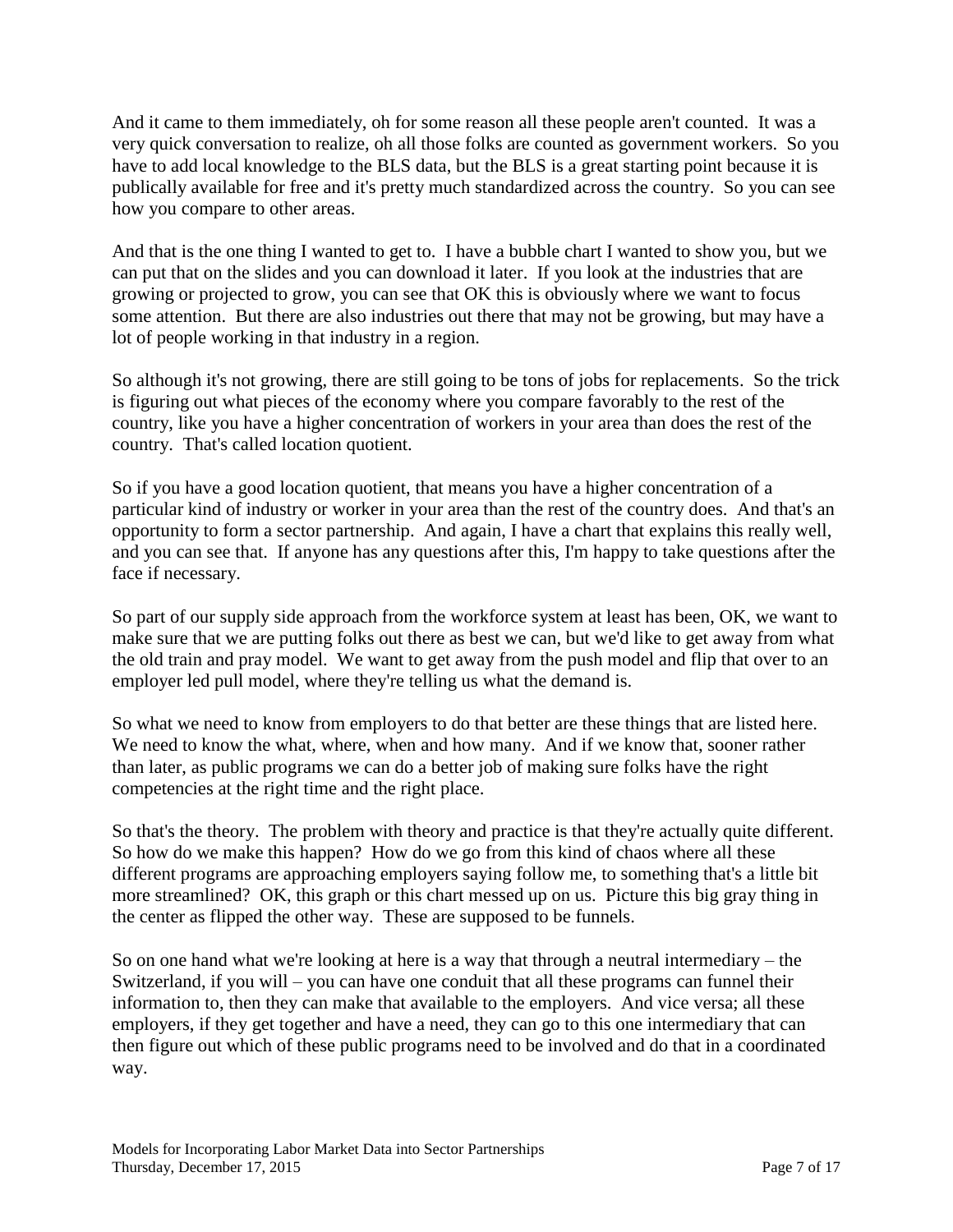And it came to them immediately, oh for some reason all these people aren't counted. It was a very quick conversation to realize, oh all those folks are counted as government workers. So you have to add local knowledge to the BLS data, but the BLS is a great starting point because it is publically available for free and it's pretty much standardized across the country. So you can see how you compare to other areas.

And that is the one thing I wanted to get to. I have a bubble chart I wanted to show you, but we can put that on the slides and you can download it later. If you look at the industries that are growing or projected to grow, you can see that OK this is obviously where we want to focus some attention. But there are also industries out there that may not be growing, but may have a lot of people working in that industry in a region.

So although it's not growing, there are still going to be tons of jobs for replacements. So the trick is figuring out what pieces of the economy where you compare favorably to the rest of the country, like you have a higher concentration of workers in your area than does the rest of the country. That's called location quotient.

So if you have a good location quotient, that means you have a higher concentration of a particular kind of industry or worker in your area than the rest of the country does. And that's an opportunity to form a sector partnership. And again, I have a chart that explains this really well, and you can see that. If anyone has any questions after this, I'm happy to take questions after the face if necessary.

So part of our supply side approach from the workforce system at least has been, OK, we want to make sure that we are putting folks out there as best we can, but we'd like to get away from what the old train and pray model. We want to get away from the push model and flip that over to an employer led pull model, where they're telling us what the demand is.

So what we need to know from employers to do that better are these things that are listed here. We need to know the what, where, when and how many. And if we know that, sooner rather than later, as public programs we can do a better job of making sure folks have the right competencies at the right time and the right place.

So that's the theory. The problem with theory and practice is that they're actually quite different. So how do we make this happen? How do we go from this kind of chaos where all these different programs are approaching employers saying follow me, to something that's a little bit more streamlined? OK, this graph or this chart messed up on us. Picture this big gray thing in the center as flipped the other way. These are supposed to be funnels.

So on one hand what we're looking at here is a way that through a neutral intermediary – the Switzerland, if you will – you can have one conduit that all these programs can funnel their information to, then they can make that available to the employers. And vice versa; all these employers, if they get together and have a need, they can go to this one intermediary that can then figure out which of these public programs need to be involved and do that in a coordinated way.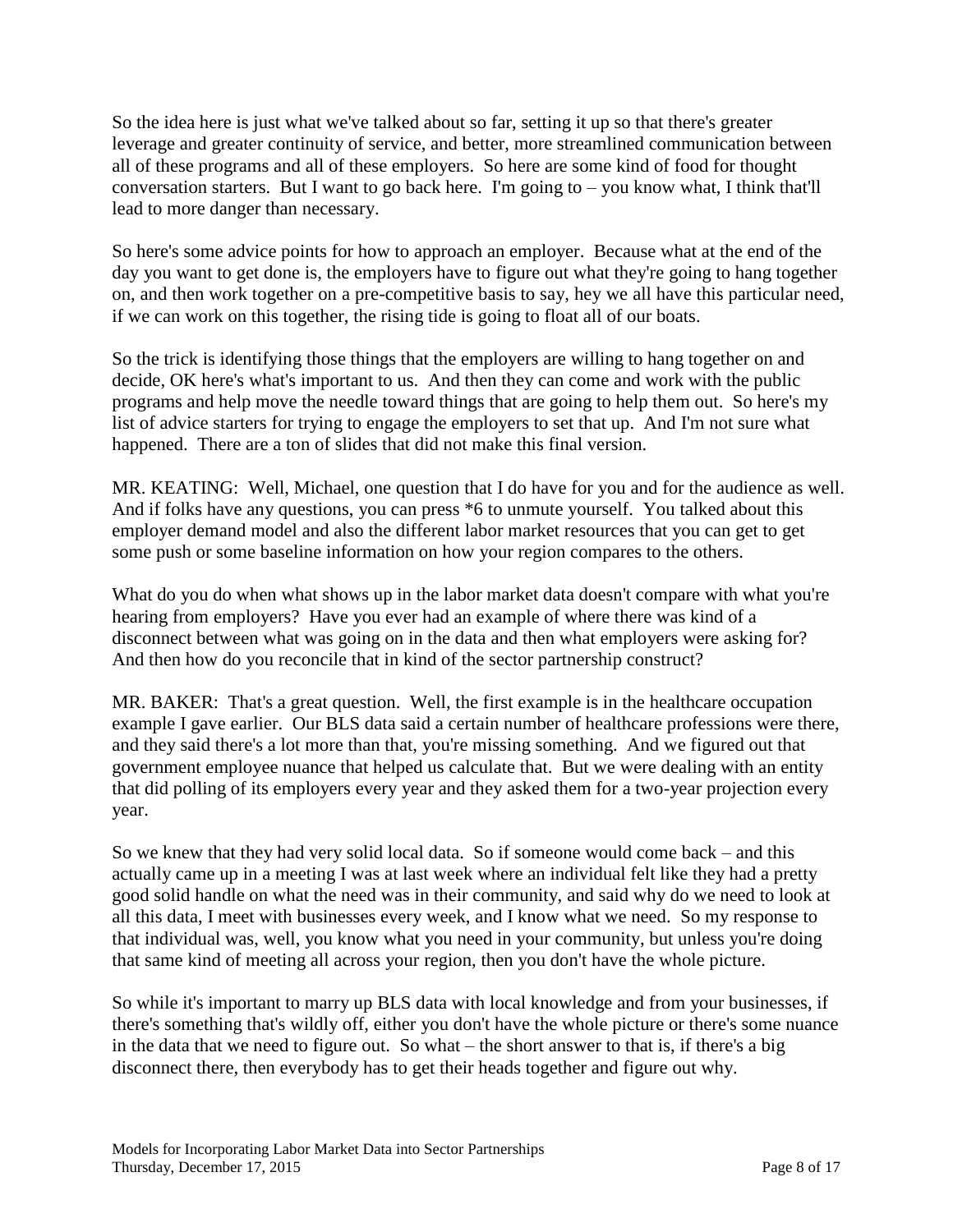So the idea here is just what we've talked about so far, setting it up so that there's greater leverage and greater continuity of service, and better, more streamlined communication between all of these programs and all of these employers. So here are some kind of food for thought conversation starters. But I want to go back here. I'm going to  $-$  you know what, I think that'll lead to more danger than necessary.

So here's some advice points for how to approach an employer. Because what at the end of the day you want to get done is, the employers have to figure out what they're going to hang together on, and then work together on a pre-competitive basis to say, hey we all have this particular need, if we can work on this together, the rising tide is going to float all of our boats.

So the trick is identifying those things that the employers are willing to hang together on and decide, OK here's what's important to us. And then they can come and work with the public programs and help move the needle toward things that are going to help them out. So here's my list of advice starters for trying to engage the employers to set that up. And I'm not sure what happened. There are a ton of slides that did not make this final version.

MR. KEATING: Well, Michael, one question that I do have for you and for the audience as well. And if folks have any questions, you can press \*6 to unmute yourself. You talked about this employer demand model and also the different labor market resources that you can get to get some push or some baseline information on how your region compares to the others.

What do you do when what shows up in the labor market data doesn't compare with what you're hearing from employers? Have you ever had an example of where there was kind of a disconnect between what was going on in the data and then what employers were asking for? And then how do you reconcile that in kind of the sector partnership construct?

MR. BAKER: That's a great question. Well, the first example is in the healthcare occupation example I gave earlier. Our BLS data said a certain number of healthcare professions were there, and they said there's a lot more than that, you're missing something. And we figured out that government employee nuance that helped us calculate that. But we were dealing with an entity that did polling of its employers every year and they asked them for a two-year projection every year.

So we knew that they had very solid local data. So if someone would come back – and this actually came up in a meeting I was at last week where an individual felt like they had a pretty good solid handle on what the need was in their community, and said why do we need to look at all this data, I meet with businesses every week, and I know what we need. So my response to that individual was, well, you know what you need in your community, but unless you're doing that same kind of meeting all across your region, then you don't have the whole picture.

So while it's important to marry up BLS data with local knowledge and from your businesses, if there's something that's wildly off, either you don't have the whole picture or there's some nuance in the data that we need to figure out. So what – the short answer to that is, if there's a big disconnect there, then everybody has to get their heads together and figure out why.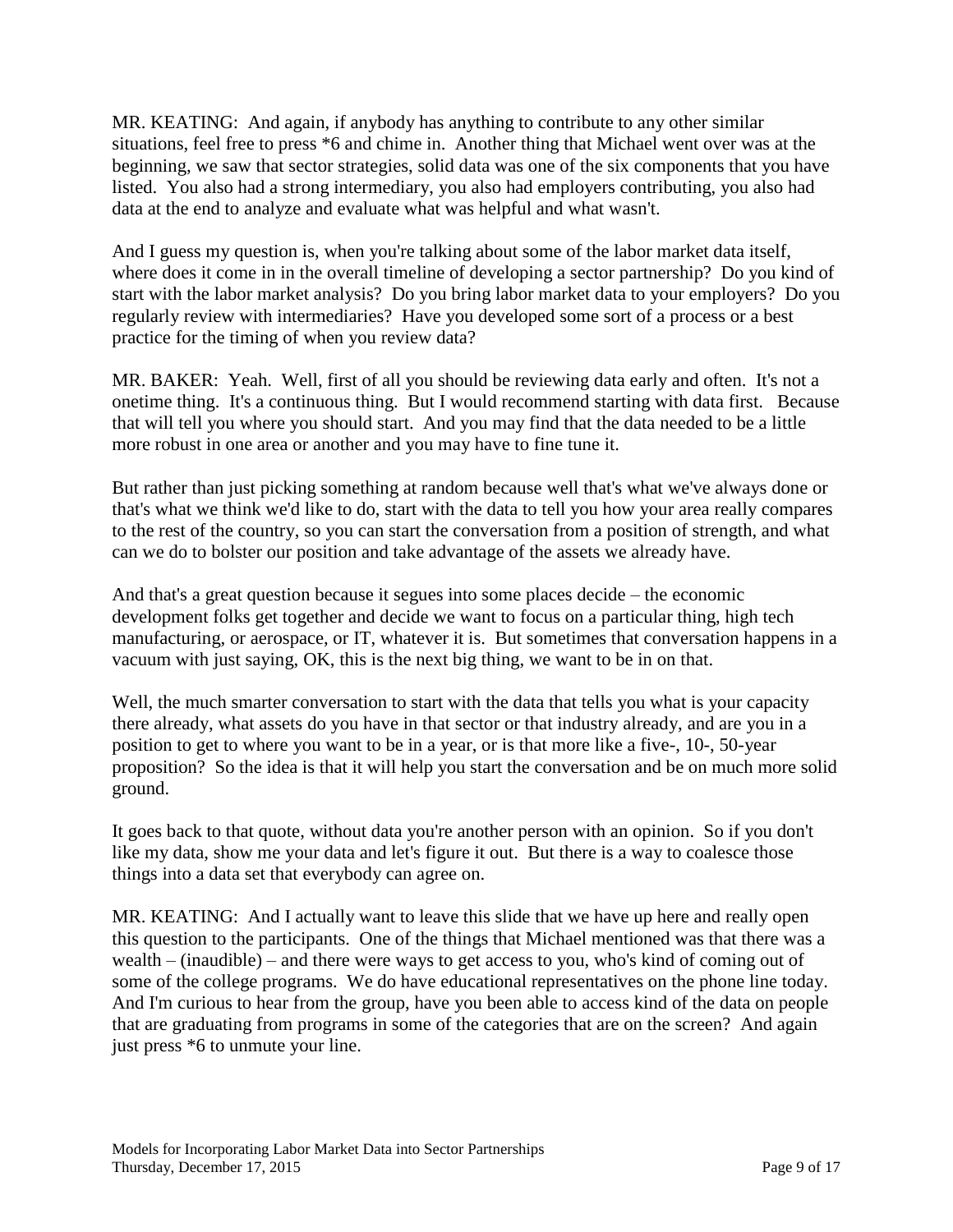MR. KEATING: And again, if anybody has anything to contribute to any other similar situations, feel free to press \*6 and chime in. Another thing that Michael went over was at the beginning, we saw that sector strategies, solid data was one of the six components that you have listed. You also had a strong intermediary, you also had employers contributing, you also had data at the end to analyze and evaluate what was helpful and what wasn't.

And I guess my question is, when you're talking about some of the labor market data itself, where does it come in in the overall timeline of developing a sector partnership? Do you kind of start with the labor market analysis? Do you bring labor market data to your employers? Do you regularly review with intermediaries? Have you developed some sort of a process or a best practice for the timing of when you review data?

MR. BAKER: Yeah. Well, first of all you should be reviewing data early and often. It's not a onetime thing. It's a continuous thing. But I would recommend starting with data first. Because that will tell you where you should start. And you may find that the data needed to be a little more robust in one area or another and you may have to fine tune it.

But rather than just picking something at random because well that's what we've always done or that's what we think we'd like to do, start with the data to tell you how your area really compares to the rest of the country, so you can start the conversation from a position of strength, and what can we do to bolster our position and take advantage of the assets we already have.

And that's a great question because it segues into some places decide – the economic development folks get together and decide we want to focus on a particular thing, high tech manufacturing, or aerospace, or IT, whatever it is. But sometimes that conversation happens in a vacuum with just saying, OK, this is the next big thing, we want to be in on that.

Well, the much smarter conversation to start with the data that tells you what is your capacity there already, what assets do you have in that sector or that industry already, and are you in a position to get to where you want to be in a year, or is that more like a five-, 10-, 50-year proposition? So the idea is that it will help you start the conversation and be on much more solid ground.

It goes back to that quote, without data you're another person with an opinion. So if you don't like my data, show me your data and let's figure it out. But there is a way to coalesce those things into a data set that everybody can agree on.

MR. KEATING: And I actually want to leave this slide that we have up here and really open this question to the participants. One of the things that Michael mentioned was that there was a wealth – (inaudible) – and there were ways to get access to you, who's kind of coming out of some of the college programs. We do have educational representatives on the phone line today. And I'm curious to hear from the group, have you been able to access kind of the data on people that are graduating from programs in some of the categories that are on the screen? And again just press \*6 to unmute your line.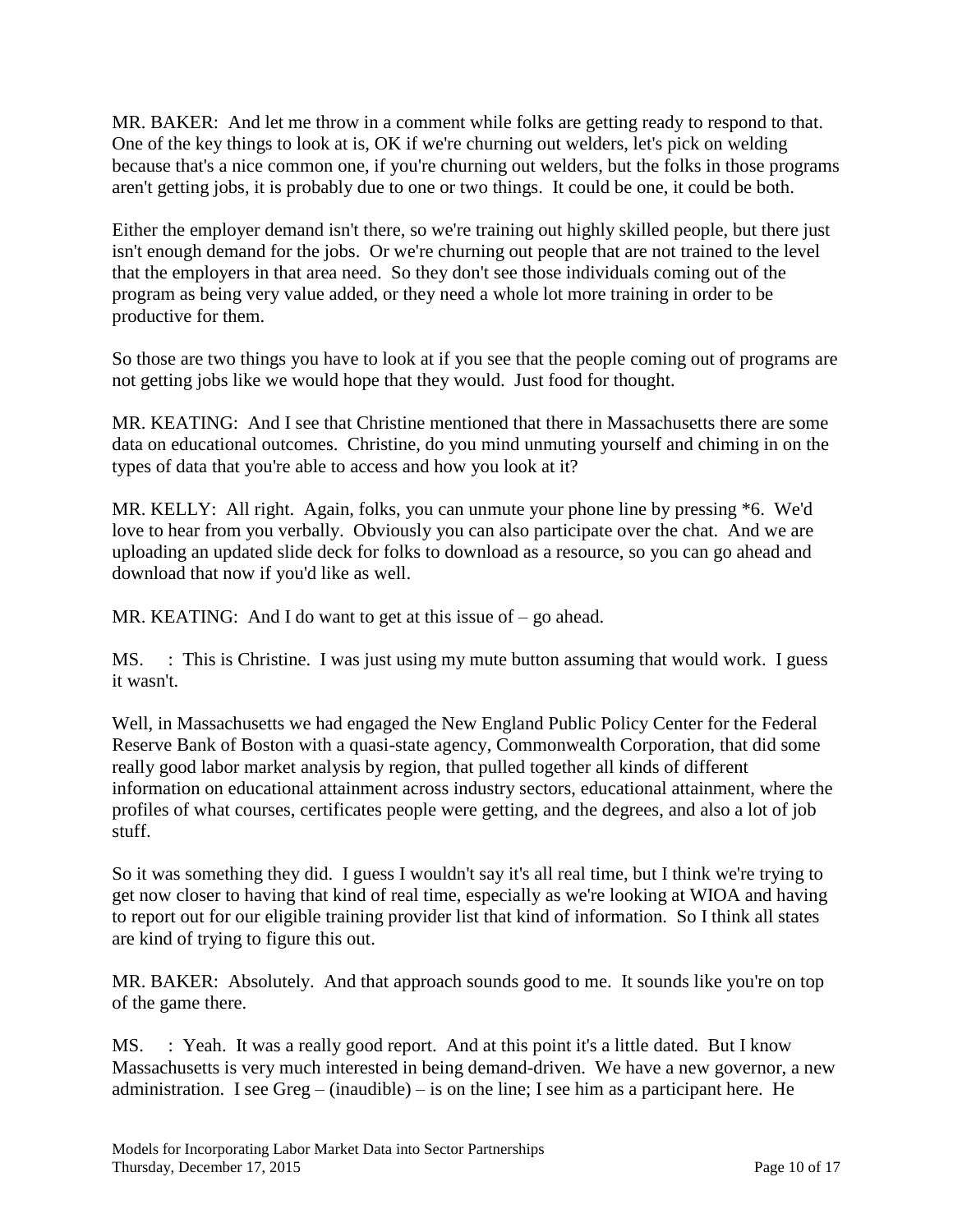MR. BAKER: And let me throw in a comment while folks are getting ready to respond to that. One of the key things to look at is, OK if we're churning out welders, let's pick on welding because that's a nice common one, if you're churning out welders, but the folks in those programs aren't getting jobs, it is probably due to one or two things. It could be one, it could be both.

Either the employer demand isn't there, so we're training out highly skilled people, but there just isn't enough demand for the jobs. Or we're churning out people that are not trained to the level that the employers in that area need. So they don't see those individuals coming out of the program as being very value added, or they need a whole lot more training in order to be productive for them.

So those are two things you have to look at if you see that the people coming out of programs are not getting jobs like we would hope that they would. Just food for thought.

MR. KEATING: And I see that Christine mentioned that there in Massachusetts there are some data on educational outcomes. Christine, do you mind unmuting yourself and chiming in on the types of data that you're able to access and how you look at it?

MR. KELLY: All right. Again, folks, you can unmute your phone line by pressing \*6. We'd love to hear from you verbally. Obviously you can also participate over the chat. And we are uploading an updated slide deck for folks to download as a resource, so you can go ahead and download that now if you'd like as well.

MR. KEATING: And I do want to get at this issue of – go ahead.

MS. : This is Christine. I was just using my mute button assuming that would work. I guess it wasn't.

Well, in Massachusetts we had engaged the New England Public Policy Center for the Federal Reserve Bank of Boston with a quasi-state agency, Commonwealth Corporation, that did some really good labor market analysis by region, that pulled together all kinds of different information on educational attainment across industry sectors, educational attainment, where the profiles of what courses, certificates people were getting, and the degrees, and also a lot of job stuff.

So it was something they did. I guess I wouldn't say it's all real time, but I think we're trying to get now closer to having that kind of real time, especially as we're looking at WIOA and having to report out for our eligible training provider list that kind of information. So I think all states are kind of trying to figure this out.

MR. BAKER: Absolutely. And that approach sounds good to me. It sounds like you're on top of the game there.

MS. : Yeah. It was a really good report. And at this point it's a little dated. But I know Massachusetts is very much interested in being demand-driven. We have a new governor, a new administration. I see Greg – (inaudible) – is on the line; I see him as a participant here. He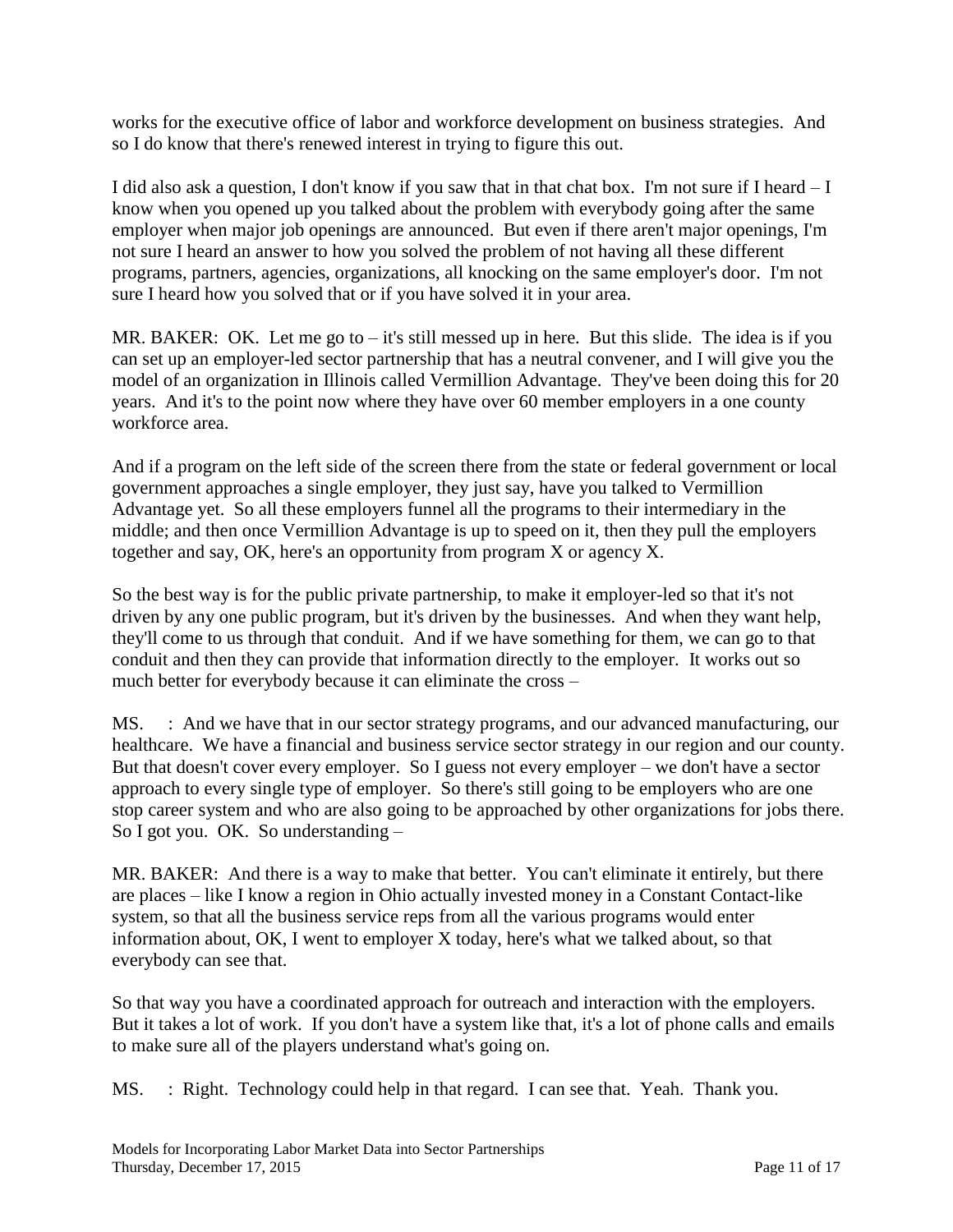works for the executive office of labor and workforce development on business strategies. And so I do know that there's renewed interest in trying to figure this out.

I did also ask a question, I don't know if you saw that in that chat box. I'm not sure if I heard – I know when you opened up you talked about the problem with everybody going after the same employer when major job openings are announced. But even if there aren't major openings, I'm not sure I heard an answer to how you solved the problem of not having all these different programs, partners, agencies, organizations, all knocking on the same employer's door. I'm not sure I heard how you solved that or if you have solved it in your area.

MR. BAKER: OK. Let me go to  $-$  it's still messed up in here. But this slide. The idea is if you can set up an employer-led sector partnership that has a neutral convener, and I will give you the model of an organization in Illinois called Vermillion Advantage. They've been doing this for 20 years. And it's to the point now where they have over 60 member employers in a one county workforce area.

And if a program on the left side of the screen there from the state or federal government or local government approaches a single employer, they just say, have you talked to Vermillion Advantage yet. So all these employers funnel all the programs to their intermediary in the middle; and then once Vermillion Advantage is up to speed on it, then they pull the employers together and say, OK, here's an opportunity from program X or agency X.

So the best way is for the public private partnership, to make it employer-led so that it's not driven by any one public program, but it's driven by the businesses. And when they want help, they'll come to us through that conduit. And if we have something for them, we can go to that conduit and then they can provide that information directly to the employer. It works out so much better for everybody because it can eliminate the cross –

MS. : And we have that in our sector strategy programs, and our advanced manufacturing, our healthcare. We have a financial and business service sector strategy in our region and our county. But that doesn't cover every employer. So I guess not every employer – we don't have a sector approach to every single type of employer. So there's still going to be employers who are one stop career system and who are also going to be approached by other organizations for jobs there. So I got you. OK. So understanding –

MR. BAKER: And there is a way to make that better. You can't eliminate it entirely, but there are places – like I know a region in Ohio actually invested money in a Constant Contact-like system, so that all the business service reps from all the various programs would enter information about, OK, I went to employer X today, here's what we talked about, so that everybody can see that.

So that way you have a coordinated approach for outreach and interaction with the employers. But it takes a lot of work. If you don't have a system like that, it's a lot of phone calls and emails to make sure all of the players understand what's going on.

MS. : Right. Technology could help in that regard. I can see that. Yeah. Thank you.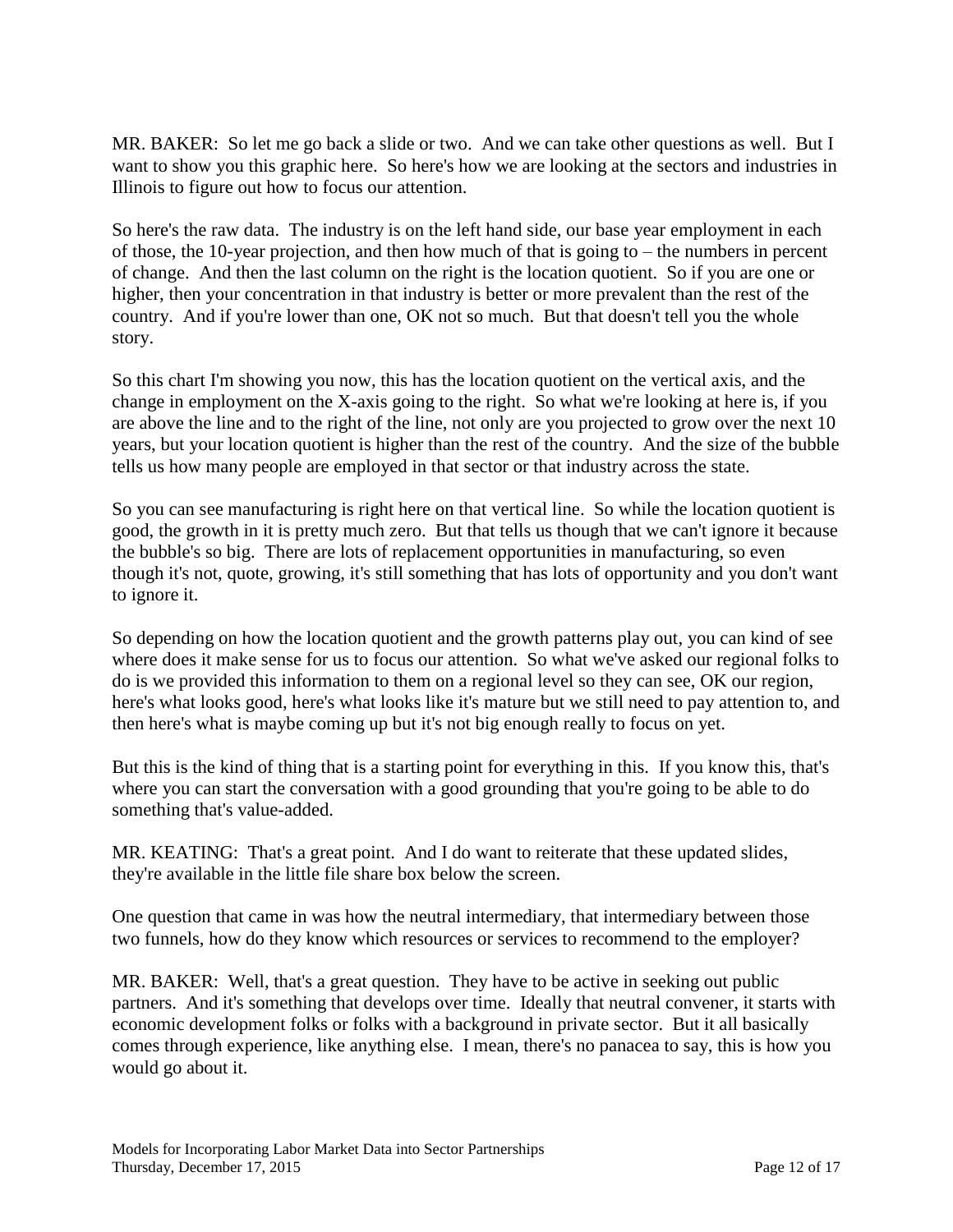MR. BAKER: So let me go back a slide or two. And we can take other questions as well. But I want to show you this graphic here. So here's how we are looking at the sectors and industries in Illinois to figure out how to focus our attention.

So here's the raw data. The industry is on the left hand side, our base year employment in each of those, the 10-year projection, and then how much of that is going to – the numbers in percent of change. And then the last column on the right is the location quotient. So if you are one or higher, then your concentration in that industry is better or more prevalent than the rest of the country. And if you're lower than one, OK not so much. But that doesn't tell you the whole story.

So this chart I'm showing you now, this has the location quotient on the vertical axis, and the change in employment on the X-axis going to the right. So what we're looking at here is, if you are above the line and to the right of the line, not only are you projected to grow over the next 10 years, but your location quotient is higher than the rest of the country. And the size of the bubble tells us how many people are employed in that sector or that industry across the state.

So you can see manufacturing is right here on that vertical line. So while the location quotient is good, the growth in it is pretty much zero. But that tells us though that we can't ignore it because the bubble's so big. There are lots of replacement opportunities in manufacturing, so even though it's not, quote, growing, it's still something that has lots of opportunity and you don't want to ignore it.

So depending on how the location quotient and the growth patterns play out, you can kind of see where does it make sense for us to focus our attention. So what we've asked our regional folks to do is we provided this information to them on a regional level so they can see, OK our region, here's what looks good, here's what looks like it's mature but we still need to pay attention to, and then here's what is maybe coming up but it's not big enough really to focus on yet.

But this is the kind of thing that is a starting point for everything in this. If you know this, that's where you can start the conversation with a good grounding that you're going to be able to do something that's value-added.

MR. KEATING: That's a great point. And I do want to reiterate that these updated slides, they're available in the little file share box below the screen.

One question that came in was how the neutral intermediary, that intermediary between those two funnels, how do they know which resources or services to recommend to the employer?

MR. BAKER: Well, that's a great question. They have to be active in seeking out public partners. And it's something that develops over time. Ideally that neutral convener, it starts with economic development folks or folks with a background in private sector. But it all basically comes through experience, like anything else. I mean, there's no panacea to say, this is how you would go about it.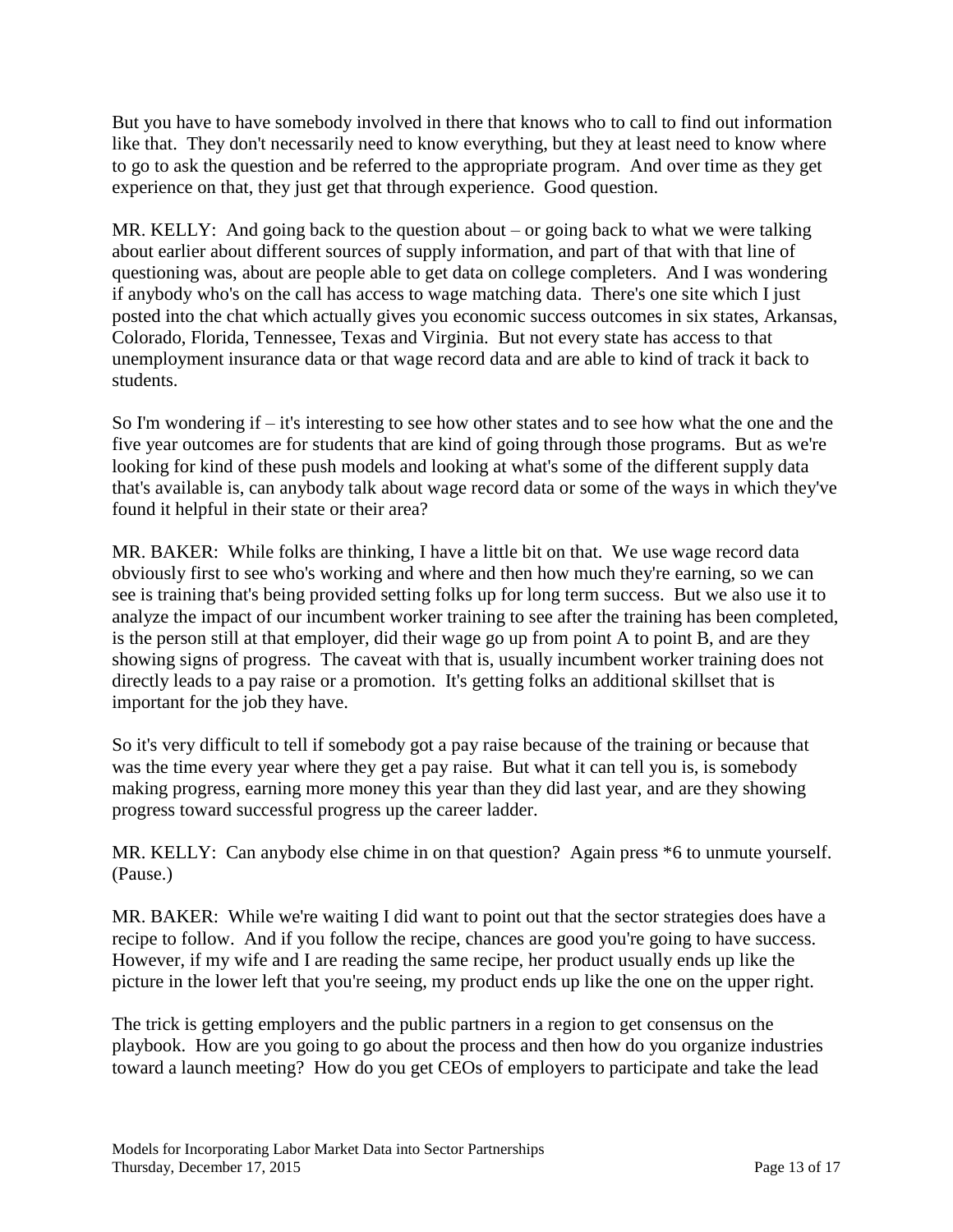But you have to have somebody involved in there that knows who to call to find out information like that. They don't necessarily need to know everything, but they at least need to know where to go to ask the question and be referred to the appropriate program. And over time as they get experience on that, they just get that through experience. Good question.

MR. KELLY: And going back to the question about – or going back to what we were talking about earlier about different sources of supply information, and part of that with that line of questioning was, about are people able to get data on college completers. And I was wondering if anybody who's on the call has access to wage matching data. There's one site which I just posted into the chat which actually gives you economic success outcomes in six states, Arkansas, Colorado, Florida, Tennessee, Texas and Virginia. But not every state has access to that unemployment insurance data or that wage record data and are able to kind of track it back to students.

So I'm wondering if – it's interesting to see how other states and to see how what the one and the five year outcomes are for students that are kind of going through those programs. But as we're looking for kind of these push models and looking at what's some of the different supply data that's available is, can anybody talk about wage record data or some of the ways in which they've found it helpful in their state or their area?

MR. BAKER: While folks are thinking, I have a little bit on that. We use wage record data obviously first to see who's working and where and then how much they're earning, so we can see is training that's being provided setting folks up for long term success. But we also use it to analyze the impact of our incumbent worker training to see after the training has been completed, is the person still at that employer, did their wage go up from point A to point B, and are they showing signs of progress. The caveat with that is, usually incumbent worker training does not directly leads to a pay raise or a promotion. It's getting folks an additional skillset that is important for the job they have.

So it's very difficult to tell if somebody got a pay raise because of the training or because that was the time every year where they get a pay raise. But what it can tell you is, is somebody making progress, earning more money this year than they did last year, and are they showing progress toward successful progress up the career ladder.

MR. KELLY: Can anybody else chime in on that question? Again press \*6 to unmute yourself. (Pause.)

MR. BAKER: While we're waiting I did want to point out that the sector strategies does have a recipe to follow. And if you follow the recipe, chances are good you're going to have success. However, if my wife and I are reading the same recipe, her product usually ends up like the picture in the lower left that you're seeing, my product ends up like the one on the upper right.

The trick is getting employers and the public partners in a region to get consensus on the playbook. How are you going to go about the process and then how do you organize industries toward a launch meeting? How do you get CEOs of employers to participate and take the lead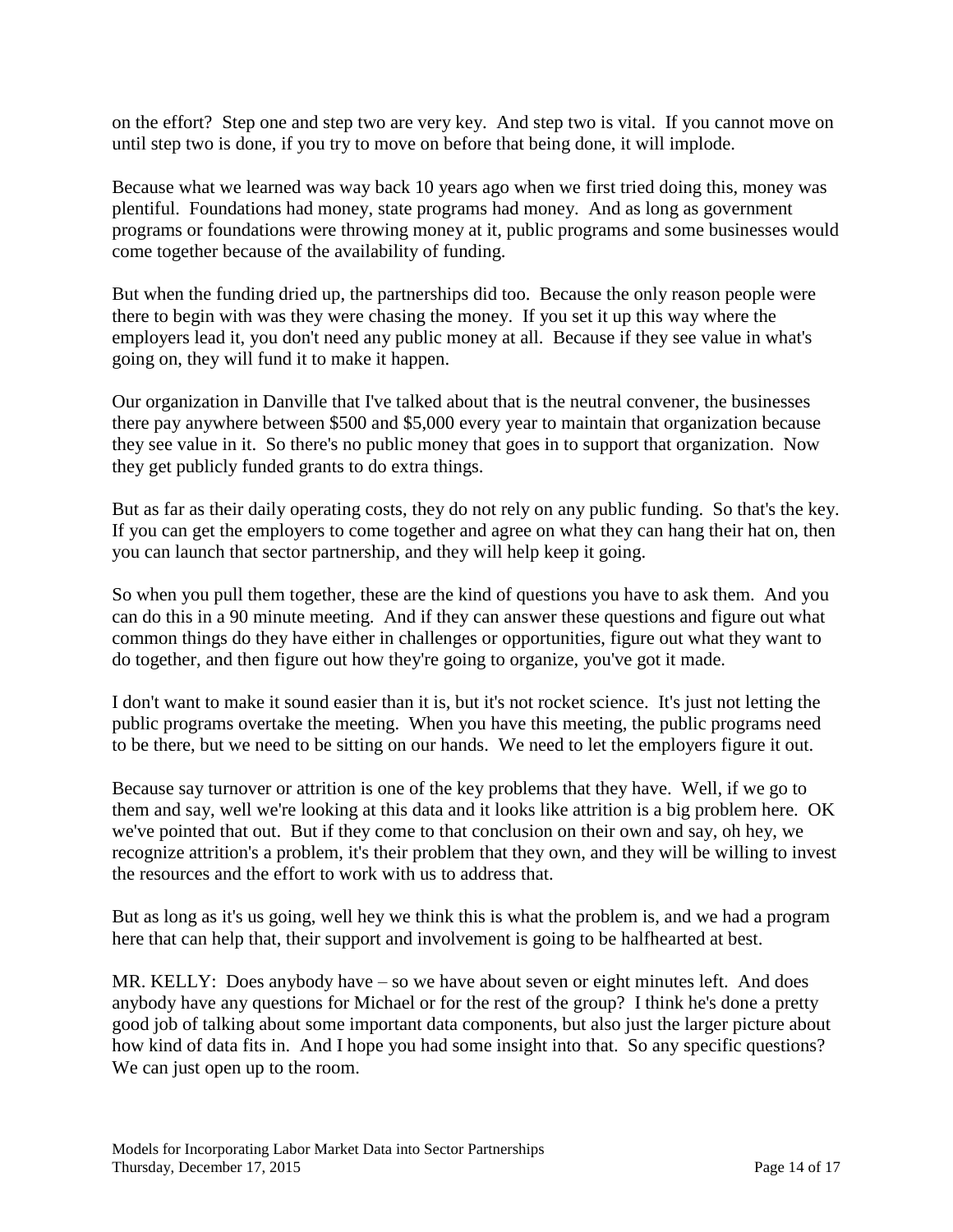on the effort? Step one and step two are very key. And step two is vital. If you cannot move on until step two is done, if you try to move on before that being done, it will implode.

Because what we learned was way back 10 years ago when we first tried doing this, money was plentiful. Foundations had money, state programs had money. And as long as government programs or foundations were throwing money at it, public programs and some businesses would come together because of the availability of funding.

But when the funding dried up, the partnerships did too. Because the only reason people were there to begin with was they were chasing the money. If you set it up this way where the employers lead it, you don't need any public money at all. Because if they see value in what's going on, they will fund it to make it happen.

Our organization in Danville that I've talked about that is the neutral convener, the businesses there pay anywhere between \$500 and \$5,000 every year to maintain that organization because they see value in it. So there's no public money that goes in to support that organization. Now they get publicly funded grants to do extra things.

But as far as their daily operating costs, they do not rely on any public funding. So that's the key. If you can get the employers to come together and agree on what they can hang their hat on, then you can launch that sector partnership, and they will help keep it going.

So when you pull them together, these are the kind of questions you have to ask them. And you can do this in a 90 minute meeting. And if they can answer these questions and figure out what common things do they have either in challenges or opportunities, figure out what they want to do together, and then figure out how they're going to organize, you've got it made.

I don't want to make it sound easier than it is, but it's not rocket science. It's just not letting the public programs overtake the meeting. When you have this meeting, the public programs need to be there, but we need to be sitting on our hands. We need to let the employers figure it out.

Because say turnover or attrition is one of the key problems that they have. Well, if we go to them and say, well we're looking at this data and it looks like attrition is a big problem here. OK we've pointed that out. But if they come to that conclusion on their own and say, oh hey, we recognize attrition's a problem, it's their problem that they own, and they will be willing to invest the resources and the effort to work with us to address that.

But as long as it's us going, well hey we think this is what the problem is, and we had a program here that can help that, their support and involvement is going to be halfhearted at best.

MR. KELLY: Does anybody have – so we have about seven or eight minutes left. And does anybody have any questions for Michael or for the rest of the group? I think he's done a pretty good job of talking about some important data components, but also just the larger picture about how kind of data fits in. And I hope you had some insight into that. So any specific questions? We can just open up to the room.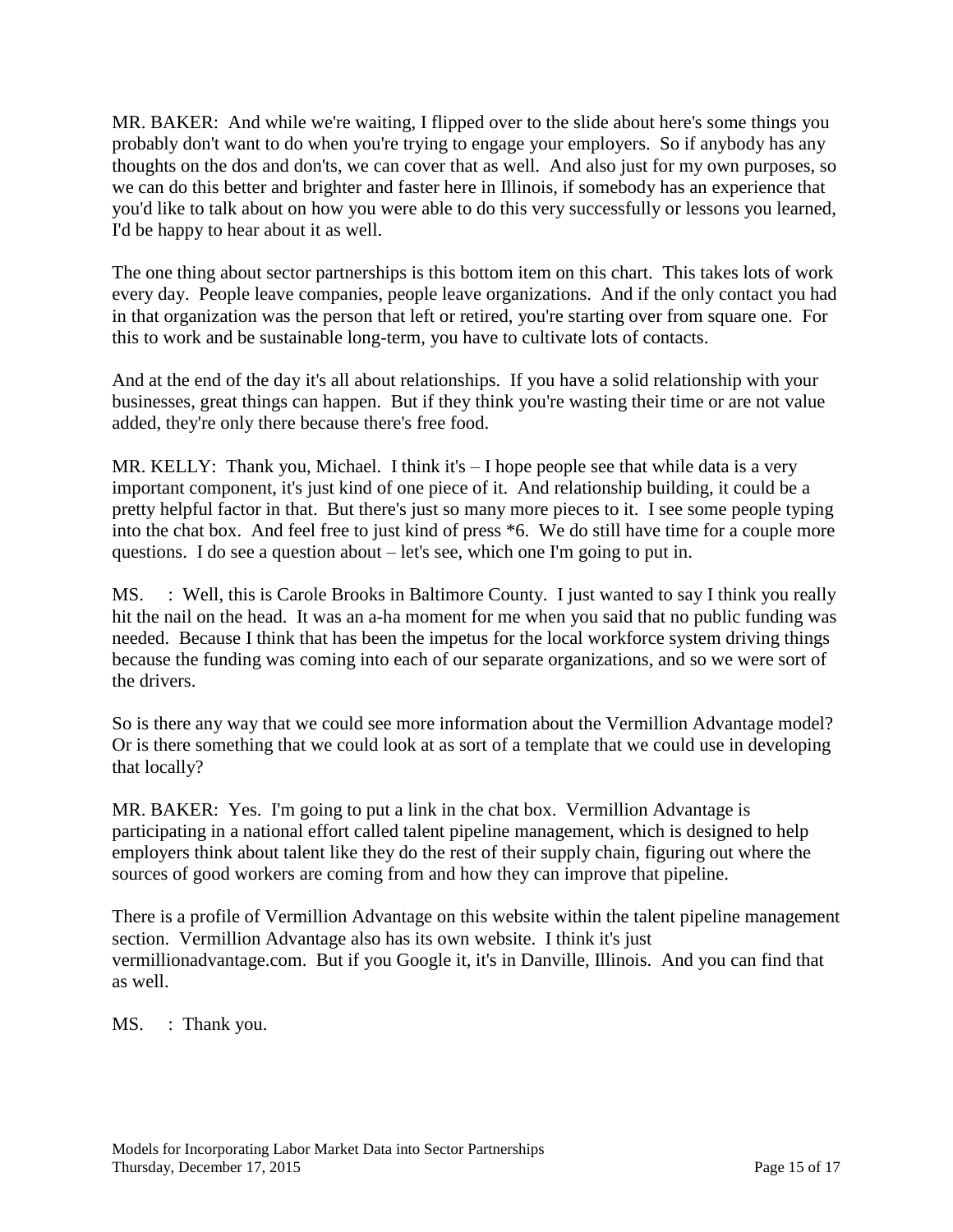MR. BAKER: And while we're waiting, I flipped over to the slide about here's some things you probably don't want to do when you're trying to engage your employers. So if anybody has any thoughts on the dos and don'ts, we can cover that as well. And also just for my own purposes, so we can do this better and brighter and faster here in Illinois, if somebody has an experience that you'd like to talk about on how you were able to do this very successfully or lessons you learned, I'd be happy to hear about it as well.

The one thing about sector partnerships is this bottom item on this chart. This takes lots of work every day. People leave companies, people leave organizations. And if the only contact you had in that organization was the person that left or retired, you're starting over from square one. For this to work and be sustainable long-term, you have to cultivate lots of contacts.

And at the end of the day it's all about relationships. If you have a solid relationship with your businesses, great things can happen. But if they think you're wasting their time or are not value added, they're only there because there's free food.

MR. KELLY: Thank you, Michael. I think it's – I hope people see that while data is a very important component, it's just kind of one piece of it. And relationship building, it could be a pretty helpful factor in that. But there's just so many more pieces to it. I see some people typing into the chat box. And feel free to just kind of press \*6. We do still have time for a couple more questions. I do see a question about – let's see, which one I'm going to put in.

MS. : Well, this is Carole Brooks in Baltimore County. I just wanted to say I think you really hit the nail on the head. It was an a-ha moment for me when you said that no public funding was needed. Because I think that has been the impetus for the local workforce system driving things because the funding was coming into each of our separate organizations, and so we were sort of the drivers.

So is there any way that we could see more information about the Vermillion Advantage model? Or is there something that we could look at as sort of a template that we could use in developing that locally?

MR. BAKER: Yes. I'm going to put a link in the chat box. Vermillion Advantage is participating in a national effort called talent pipeline management, which is designed to help employers think about talent like they do the rest of their supply chain, figuring out where the sources of good workers are coming from and how they can improve that pipeline.

There is a profile of Vermillion Advantage on this website within the talent pipeline management section. Vermillion Advantage also has its own website. I think it's just vermillionadvantage.com. But if you Google it, it's in Danville, Illinois. And you can find that as well.

MS. : Thank you.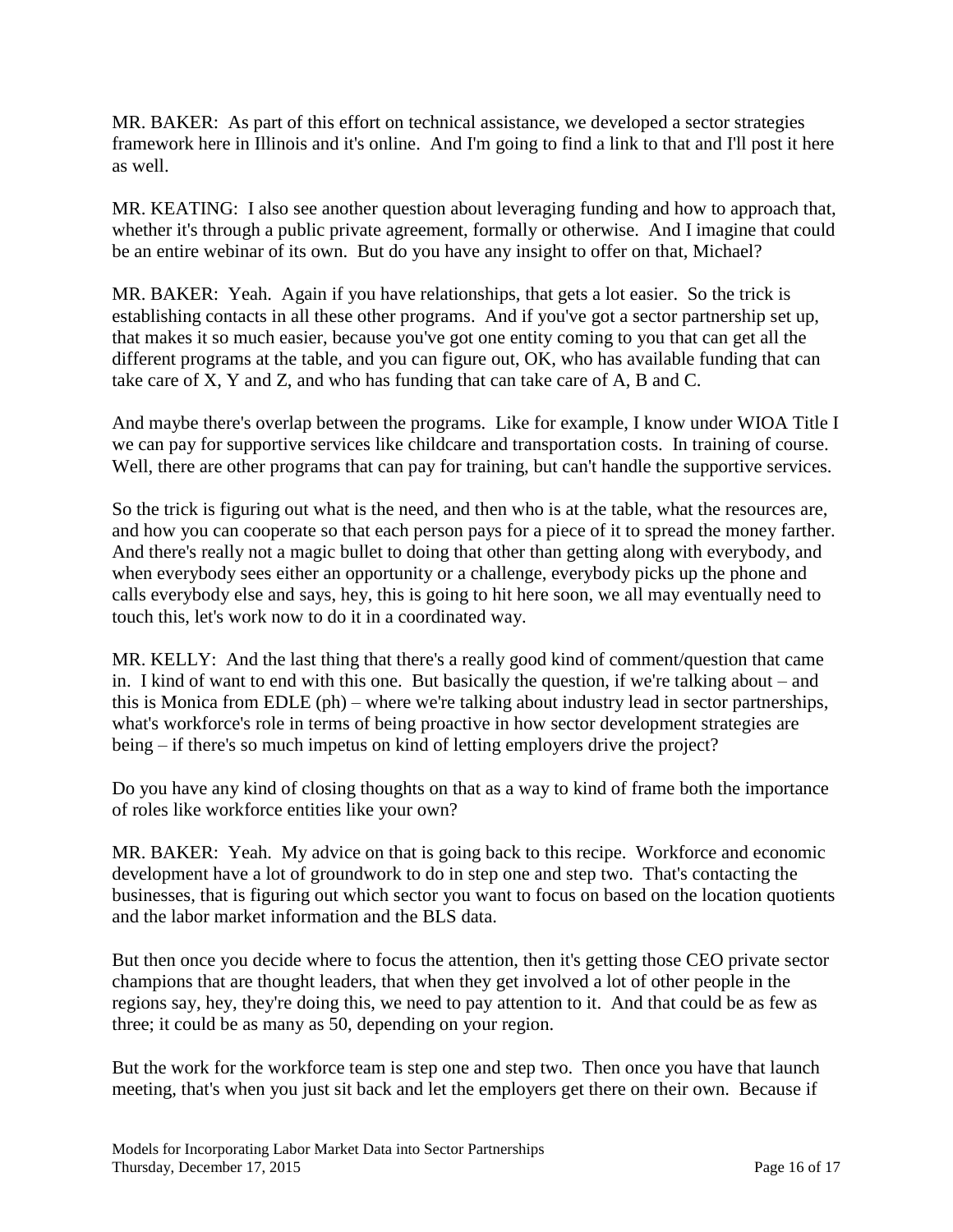MR. BAKER: As part of this effort on technical assistance, we developed a sector strategies framework here in Illinois and it's online. And I'm going to find a link to that and I'll post it here as well.

MR. KEATING: I also see another question about leveraging funding and how to approach that, whether it's through a public private agreement, formally or otherwise. And I imagine that could be an entire webinar of its own. But do you have any insight to offer on that, Michael?

MR. BAKER: Yeah. Again if you have relationships, that gets a lot easier. So the trick is establishing contacts in all these other programs. And if you've got a sector partnership set up, that makes it so much easier, because you've got one entity coming to you that can get all the different programs at the table, and you can figure out, OK, who has available funding that can take care of X, Y and Z, and who has funding that can take care of A, B and C.

And maybe there's overlap between the programs. Like for example, I know under WIOA Title I we can pay for supportive services like childcare and transportation costs. In training of course. Well, there are other programs that can pay for training, but can't handle the supportive services.

So the trick is figuring out what is the need, and then who is at the table, what the resources are, and how you can cooperate so that each person pays for a piece of it to spread the money farther. And there's really not a magic bullet to doing that other than getting along with everybody, and when everybody sees either an opportunity or a challenge, everybody picks up the phone and calls everybody else and says, hey, this is going to hit here soon, we all may eventually need to touch this, let's work now to do it in a coordinated way.

MR. KELLY: And the last thing that there's a really good kind of comment/question that came in. I kind of want to end with this one. But basically the question, if we're talking about – and this is Monica from EDLE (ph) – where we're talking about industry lead in sector partnerships, what's workforce's role in terms of being proactive in how sector development strategies are being – if there's so much impetus on kind of letting employers drive the project?

Do you have any kind of closing thoughts on that as a way to kind of frame both the importance of roles like workforce entities like your own?

MR. BAKER: Yeah. My advice on that is going back to this recipe. Workforce and economic development have a lot of groundwork to do in step one and step two. That's contacting the businesses, that is figuring out which sector you want to focus on based on the location quotients and the labor market information and the BLS data.

But then once you decide where to focus the attention, then it's getting those CEO private sector champions that are thought leaders, that when they get involved a lot of other people in the regions say, hey, they're doing this, we need to pay attention to it. And that could be as few as three; it could be as many as 50, depending on your region.

But the work for the workforce team is step one and step two. Then once you have that launch meeting, that's when you just sit back and let the employers get there on their own. Because if